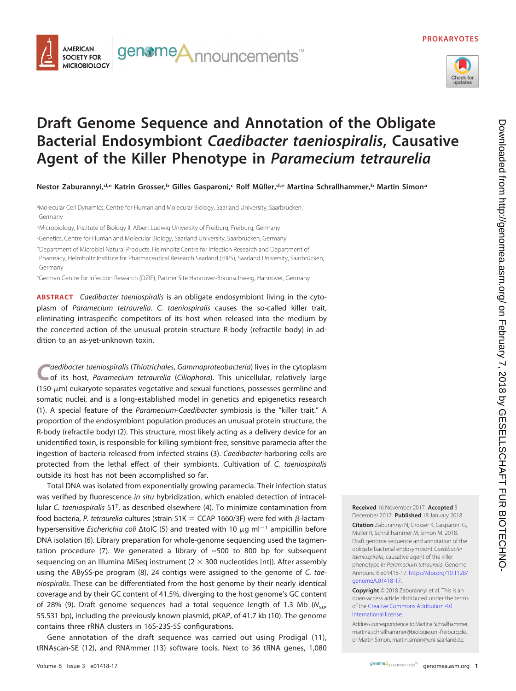



## **Draft Genome Sequence and Annotation of the Obligate Bacterial Endosymbiont Caedibacter taeniospiralis, Causative Agent of the Killer Phenotype in Paramecium tetraurelia**

**Nestor Zaburannyi,d,e Katrin Grosser,b Gilles Gasparoni,c Rolf Müller,d,e Martina Schrallhammer,b Martin Simona**

aMolecular Cell Dynamics, Centre for Human and Molecular Biology, Saarland University, Saarbrücken, Germany

<sup>b</sup>Microbiology, Institute of Biology II, Albert Ludwig University of Freiburg, Freiburg, Germany

c Genetics, Centre for Human and Molecular Biology, Saarland University, Saarbrücken, Germany

<sup>d</sup>Department of Microbial Natural Products, Helmholtz Centre for Infection Research and Department of Pharmacy, Helmholtz Institute for Pharmaceutical Research Saarland (HIPS), Saarland University, Saarbrücken, Germany

eGerman Centre for Infection Research (DZIF), Partner Site Hannover-Braunschweig, Hannover, Germany

**ABSTRACT** Caedibacter taeniospiralis is an obligate endosymbiont living in the cytoplasm of Paramecium tetraurelia. C. taeniospiralis causes the so-called killer trait, eliminating intraspecific competitors of its host when released into the medium by the concerted action of the unusual protein structure R-body (refractile body) in addition to an as-yet-unknown toxin.

aedibacter taeniospiralis (Thiotrichales, Gammaproteobacteria) lives in the cytoplasm of its host, Paramecium tetraurelia (Ciliophora). This unicellular, relatively large (150- $\mu$ m) eukaryote separates vegetative and sexual functions, possesses germline and somatic nuclei, and is a long-established model in genetics and epigenetics research [\(1\)](#page-1-0). A special feature of the Paramecium-Caedibacter symbiosis is the "killer trait." A proportion of the endosymbiont population produces an unusual protein structure, the R-body (refractile body) [\(2\)](#page-1-1). This structure, most likely acting as a delivery device for an unidentified toxin, is responsible for killing symbiont-free, sensitive paramecia after the ingestion of bacteria released from infected strains [\(3\)](#page-1-2). Caedibacter-harboring cells are protected from the lethal effect of their symbionts. Cultivation of C. taeniospiralis outside its host has not been accomplished so far.

Total DNA was isolated from exponentially growing paramecia. Their infection status was verified by fluorescence in situ hybridization, which enabled detection of intracellular C. taeniospiralis  $51<sup>T</sup>$ , as described elsewhere [\(4\)](#page-1-3). To minimize contamination from food bacteria, P. tetraurelia cultures (strain 51K = CCAP 1660/3F) were fed with  $\beta$ -lactamhypersensitive Escherichia coli  $\Delta$ tolC [\(5\)](#page-1-4) and treated with 10  $\mu$ g ml<sup>-1</sup> ampicillin before DNA isolation [\(6\)](#page-1-5). Library preparation for whole-genome sequencing used the tagmen-tation procedure [\(7\)](#page-1-6). We generated a library of  $~500$  to 800 bp for subsequent sequencing on an Illumina MiSeq instrument ( $2 \times 300$  nucleotides [nt]). After assembly using the ABySS-pe program [\(8\)](#page-1-7), 24 contigs were assigned to the genome of C. taeniospiralis. These can be differentiated from the host genome by their nearly identical coverage and by their GC content of 41.5%, diverging to the host genome's GC content of 28% [\(9\)](#page-1-8). Draft genome sequences had a total sequence length of 1.3 Mb ( $N_{50}$ , 55.531 bp), including the previously known plasmid, pKAP, of 41.7 kb [\(10\)](#page-1-9). The genome contains three rRNA clusters in 16S-23S-5S configurations.

Gene annotation of the draft sequence was carried out using Prodigal [\(11\)](#page-1-10), tRNAscan-SE [\(12\)](#page-1-11), and RNAmmer [\(13\)](#page-1-12) software tools. Next to 36 tRNA genes, 1,080 **Received** 16 November 2017 **Accepted** 5 December 2017 **Published** 18 January 2018

**Citation** Zaburannyi N, Grosser K, Gasparoni G, Müller R, Schrallhammer M, Simon M. 2018. Draft genome sequence and annotation of the obligate bacterial endosymbiont Caedibacter taeniospiralis, causative agent of the killer phenotype in Paramecium tetraurelia. Genome Announc 6:e01418-17. [https://doi.org/10.1128/](https://doi.org/10.1128/genomeA.01418-17) [genomeA.01418-17.](https://doi.org/10.1128/genomeA.01418-17)

**Copyright** © 2018 Zaburannyi et al. This is an open-access article distributed under the terms of the [Creative Commons Attribution 4.0](https://creativecommons.org/licenses/by/4.0/) [International](https://creativecommons.org/licenses/by/4.0/) license.

Address correspondence to Martina Schrallhammer, [martina.schrallhammer@biologie.uni-freiburg.de,](mailto:martina.schrallhammer@biologie.uni-freiburg.de) or Martin Simon, [martin.simon@uni-saarland.de.](mailto:martin.simon@uni-saarland.de)